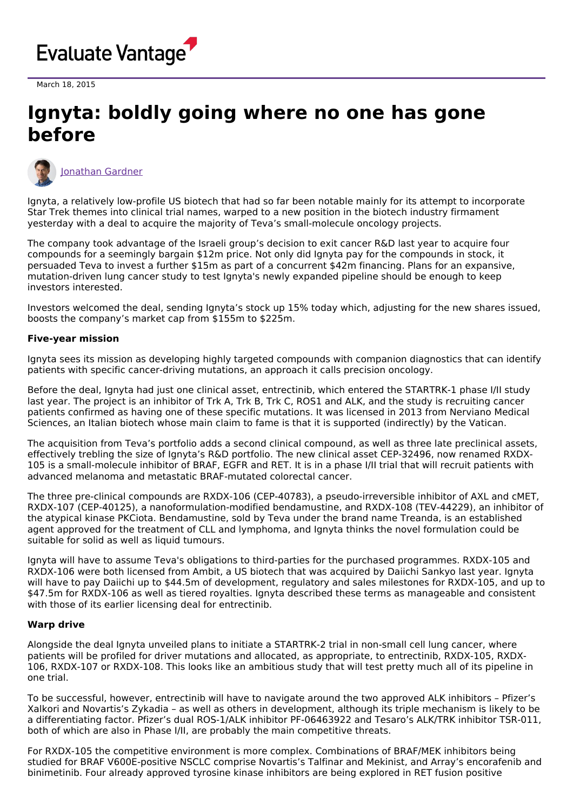

March 18, 2015

## **Ignyta: boldly going where no one has gone before**



[Jonathan](https://www.evaluate.com/vantage/editorial-team/jonathan-gardner) Gardner

Ignyta, a relatively low-profile US biotech that had so far been notable mainly for its attempt to incorporate Star Trek themes into clinical trial names, warped to a new position in the biotech industry firmament yesterday with a deal to acquire the majority of Teva's small-molecule oncology projects.

The company took advantage of the Israeli group's decision to exit cancer R&D last year to acquire four compounds for a seemingly bargain \$12m price. Not only did Ignyta pay for the compounds in stock, it persuaded Teva to invest a further \$15m as part of a concurrent \$42m financing. Plans for an expansive, mutation-driven lung cancer study to test Ignyta's newly expanded pipeline should be enough to keep investors interested.

Investors welcomed the deal, sending Ignyta's stock up 15% today which, adjusting for the new shares issued, boosts the company's market cap from \$155m to \$225m.

## **Five-year mission**

Ignyta sees its mission as developing highly targeted compounds with companion diagnostics that can identify patients with specific cancer-driving mutations, an approach it calls precision oncology.

Before the deal, Ignyta had just one clinical asset, entrectinib, which entered the STARTRK-1 phase I/II study last year. The project is an inhibitor of Trk A, Trk B, Trk C, ROS1 and ALK, and the study is recruiting cancer patients confirmed as having one of these specific mutations. It was licensed in 2013 from Nerviano Medical Sciences, an Italian biotech whose main claim to fame is that it is supported (indirectly) by the Vatican.

The acquisition from Teva's portfolio adds a second clinical compound, as well as three late preclinical assets, effectively trebling the size of Ignyta's R&D portfolio. The new clinical asset CEP-32496, now renamed RXDX-105 is a small-molecule inhibitor of BRAF, EGFR and RET. It is in a phase I/II trial that will recruit patients with advanced melanoma and metastatic BRAF-mutated colorectal cancer.

The three pre-clinical compounds are RXDX-106 (CEP-40783), a pseudo-irreversible inhibitor of AXL and cMET, RXDX-107 (CEP-40125), a nanoformulation-modified bendamustine, and RXDX-108 (TEV-44229), an inhibitor of the atypical kinase PKCiota. Bendamustine, sold by Teva under the brand name Treanda, is an established agent approved for the treatment of CLL and lymphoma, and Ignyta thinks the novel formulation could be suitable for solid as well as liquid tumours.

Ignyta will have to assume Teva's obligations to third-parties for the purchased programmes. RXDX-105 and RXDX-106 were both licensed from Ambit, a US biotech that was acquired by Daiichi Sankyo last year. Ignyta will have to pay Daiichi up to \$44.5m of development, regulatory and sales milestones for RXDX-105, and up to \$47.5m for RXDX-106 as well as tiered royalties. Ignyta described these terms as manageable and consistent with those of its earlier licensing deal for entrectinib.

## **Warp drive**

Alongside the deal Ignyta unveiled plans to initiate a STARTRK-2 trial in non-small cell lung cancer, where patients will be profiled for driver mutations and allocated, as appropriate, to entrectinib, RXDX-105, RXDX-106, RXDX-107 or RXDX-108. This looks like an ambitious study that will test pretty much all of its pipeline in one trial.

To be successful, however, entrectinib will have to navigate around the two approved ALK inhibitors – Pfizer's Xalkori and Novartis's Zykadia – as well as others in development, although its triple mechanism is likely to be a differentiating factor. Pfizer's dual ROS-1/ALK inhibitor PF-06463922 and Tesaro's ALK/TRK inhibitor TSR-011, both of which are also in Phase I/II, are probably the main competitive threats.

For RXDX-105 the competitive environment is more complex. Combinations of BRAF/MEK inhibitors being studied for BRAF V600E-positive NSCLC comprise Novartis's Talfinar and Mekinist, and Array's encorafenib and binimetinib. Four already approved tyrosine kinase inhibitors are being explored in RET fusion positive